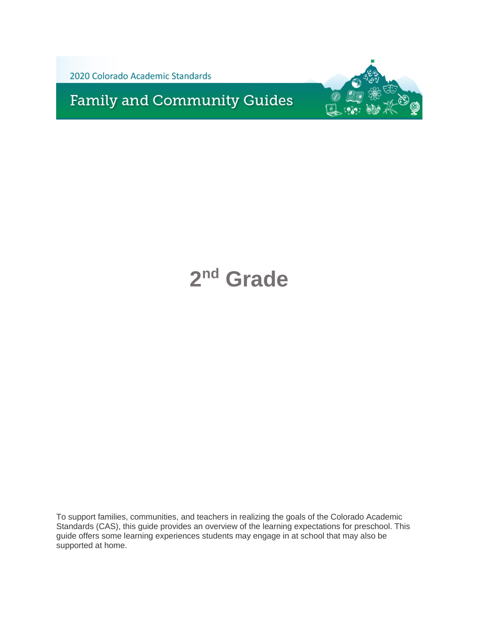

**Family and Community Guides** 



# **2 nd Grade**

To support families, communities, and teachers in realizing the goals of the Colorado Academic Standards (CAS), this guide provides an overview of the learning expectations for preschool. This guide offers some learning experiences students may engage in at school that may also be supported at home.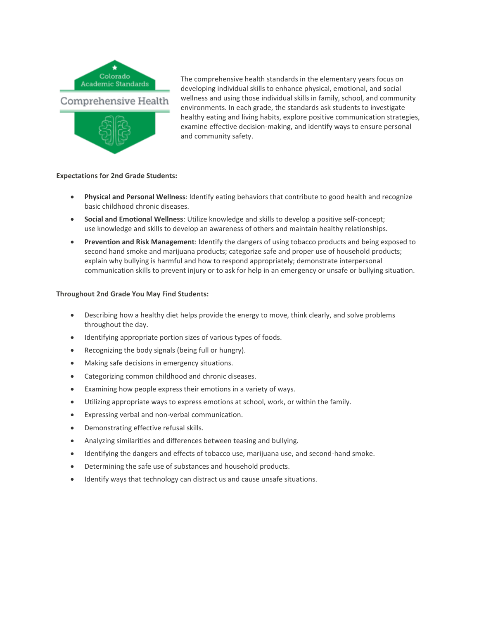

The comprehensive health standards in the elementary years focus on developing individual skills to enhance physical, emotional, and social wellness and using those individual skills in family, school, and community environments. In each grade, the standards ask students to investigate healthy eating and living habits, explore positive communication strategies, examine effective decision-making, and identify ways to ensure personal and community safety.

# **Expectations for 2nd Grade Students:**

- **Physical and Personal Wellness**: Identify eating behaviors that contribute to good health and recognize basic childhood chronic diseases.
- **Social and Emotional Wellness**: Utilize knowledge and skills to develop a positive self-concept; use knowledge and skills to develop an awareness of others and maintain healthy relationships.
- **Prevention and Risk Management**: Identify the dangers of using tobacco products and being exposed to second hand smoke and marijuana products; categorize safe and proper use of household products; explain why bullying is harmful and how to respond appropriately; demonstrate interpersonal communication skills to prevent injury or to ask for help in an emergency or unsafe or bullying situation.

- Describing how a healthy diet helps provide the energy to move, think clearly, and solve problems throughout the day.
- Identifying appropriate portion sizes of various types of foods.
- Recognizing the body signals (being full or hungry).
- Making safe decisions in emergency situations.
- Categorizing common childhood and chronic diseases.
- Examining how people express their emotions in a variety of ways.
- Utilizing appropriate ways to express emotions at school, work, or within the family.
- Expressing verbal and non-verbal communication.
- Demonstrating effective refusal skills.
- Analyzing similarities and differences between teasing and bullying.
- Identifying the dangers and effects of tobacco use, marijuana use, and second-hand smoke.
- Determining the safe use of substances and household products.
- Identify ways that technology can distract us and cause unsafe situations.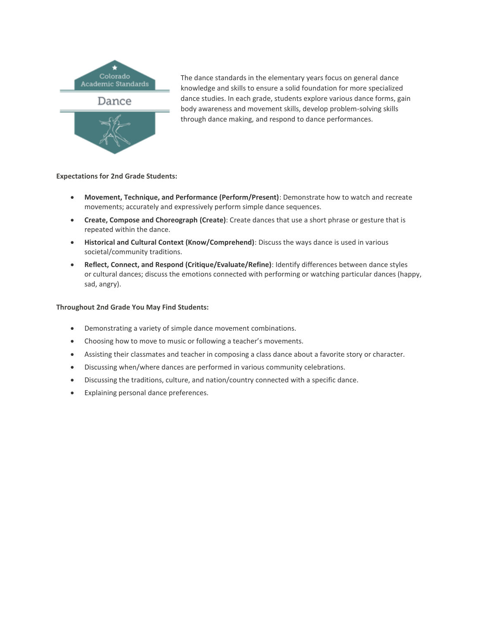

The dance standards in the elementary years focus on general dance knowledge and skills to ensure a solid foundation for more specialized dance studies. In each grade, students explore various dance forms, gain body awareness and movement skills, develop problem-solving skills through dance making, and respond to dance performances.

# **Expectations for 2nd Grade Students:**

- **Movement, Technique, and Performance (Perform/Present)**: Demonstrate how to watch and recreate movements; accurately and expressively perform simple dance sequences.
- **Create, Compose and Choreograph (Create)**: Create dances that use a short phrase or gesture that is repeated within the dance.
- **Historical and Cultural Context (Know/Comprehend)**: Discuss the ways dance is used in various societal/community traditions.
- **Reflect, Connect, and Respond (Critique/Evaluate/Refine)**: Identify differences between dance styles or cultural dances; discuss the emotions connected with performing or watching particular dances (happy, sad, angry).

- Demonstrating a variety of simple dance movement combinations.
- Choosing how to move to music or following a teacher's movements.
- Assisting their classmates and teacher in composing a class dance about a favorite story or character.
- Discussing when/where dances are performed in various community celebrations.
- Discussing the traditions, culture, and nation/country connected with a specific dance.
- Explaining personal dance preferences.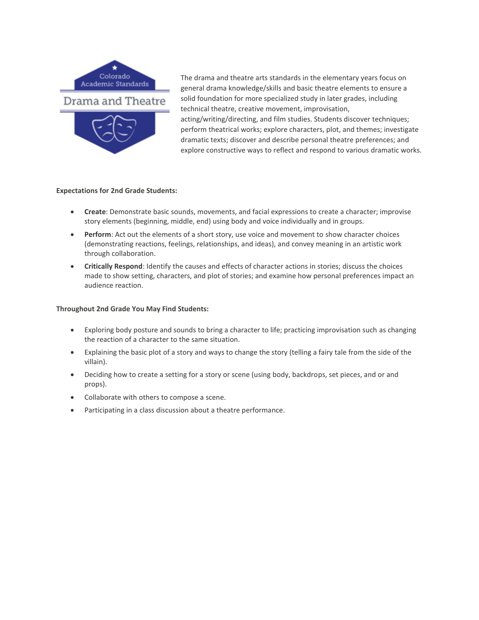

The drama and theatre arts standards in the elementary years focus on general drama knowledge/skills and basic theatre elements to ensure a solid foundation for more specialized study in later grades, including technical theatre, creative movement, improvisation, acting/writing/directing, and film studies. Students discover techniques; perform theatrical works; explore characters, plot, and themes; investigate dramatic texts; discover and describe personal theatre preferences; and explore constructive ways to reflect and respond to various dramatic works.

## **Expectations for 2nd Grade Students:**

- **Create**: Demonstrate basic sounds, movements, and facial expressions to create a character; improvise story elements (beginning, middle, end) using body and voice individually and in groups.
- **Perform**: Act out the elements of a short story, use voice and movement to show character choices (demonstrating reactions, feelings, relationships, and ideas), and convey meaning in an artistic work through collaboration.
- **Critically Respond**: Identify the causes and effects of character actions in stories; discuss the choices made to show setting, characters, and plot of stories; and examine how personal preferences impact an audience reaction.

- Exploring body posture and sounds to bring a character to life; practicing improvisation such as changing the reaction of a character to the same situation.
- Explaining the basic plot of a story and ways to change the story (telling a fairy tale from the side of the villain).
- Deciding how to create a setting for a story or scene (using body, backdrops, set pieces, and or and props).
- Collaborate with others to compose a scene.
- Participating in a class discussion about a theatre performance.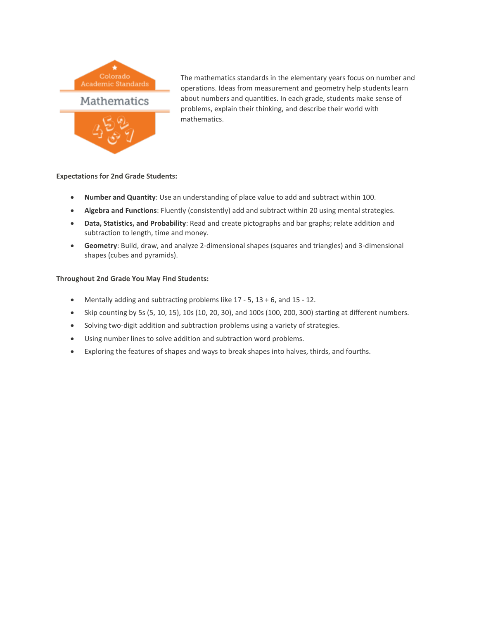

The mathematics standards in the elementary years focus on number and operations. Ideas from measurement and geometry help students learn about numbers and quantities. In each grade, students make sense of problems, explain their thinking, and describe their world with mathematics.

# **Expectations for 2nd Grade Students:**

- **Number and Quantity**: Use an understanding of place value to add and subtract within 100.
- **Algebra and Functions**: Fluently (consistently) add and subtract within 20 using mental strategies.
- **Data, Statistics, and Probability**: Read and create pictographs and bar graphs; relate addition and subtraction to length, time and money.
- **Geometry**: Build, draw, and analyze 2-dimensional shapes (squares and triangles) and 3-dimensional shapes (cubes and pyramids).

- Mentally adding and subtracting problems like 17 5, 13 + 6, and 15 12.
- $\bullet$  Skip counting by 5s (5, 10, 15), 10s (10, 20, 30), and 100s (100, 200, 300) starting at different numbers.
- Solving two-digit addition and subtraction problems using a variety of strategies.
- Using number lines to solve addition and subtraction word problems.
- Exploring the features of shapes and ways to break shapes into halves, thirds, and fourths.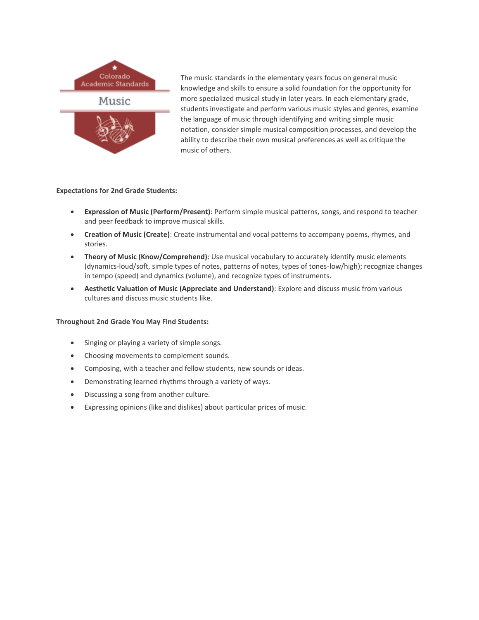

The music standards in the elementary years focus on general music knowledge and skills to ensure a solid foundation for the opportunity for more specialized musical study in later years. In each elementary grade, students investigate and perform various music styles and genres, examine the language of music through identifying and writing simple music notation, consider simple musical composition processes, and develop the ability to describe their own musical preferences as well as critique the music of others.

# **Expectations for 2nd Grade Students:**

- **Expression of Music (Perform/Present)**: Perform simple musical patterns, songs, and respond to teacher and peer feedback to improve musical skills.
- **Creation of Music (Create)**: Create instrumental and vocal patterns to accompany poems, rhymes, and stories.
- **Theory of Music (Know/Comprehend)**: Use musical vocabulary to accurately identify music elements (dynamics-loud/soft, simple types of notes, patterns of notes, types of tones-low/high); recognize changes in tempo (speed) and dynamics (volume), and recognize types of instruments.
- **Aesthetic Valuation of Music (Appreciate and Understand)**: Explore and discuss music from various cultures and discuss music students like.

- Singing or playing a variety of simple songs.
- Choosing movements to complement sounds.
- Composing, with a teacher and fellow students, new sounds or ideas.
- Demonstrating learned rhythms through a variety of ways.
- Discussing a song from another culture.
- Expressing opinions (like and dislikes) about particular prices of music.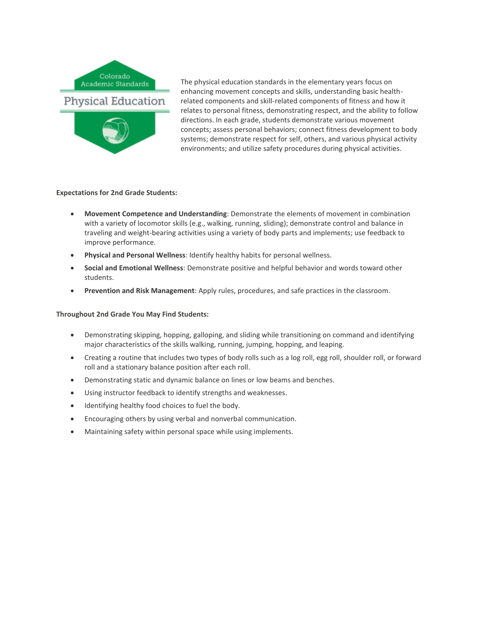

The physical education standards in the elementary years focus on enhancing movement concepts and skills, understanding basic healthrelated components and skill-related components of fitness and how it relates to personal fitness, demonstrating respect, and the ability to follow directions. In each grade, students demonstrate various movement concepts; assess personal behaviors; connect fitness development to body systems; demonstrate respect for self, others, and various physical activity environments; and utilize safety procedures during physical activities.

## **Expectations for 2nd Grade Students:**

- **Movement Competence and Understanding**: Demonstrate the elements of movement in combination with a variety of locomotor skills (e.g., walking, running, sliding); demonstrate control and balance in traveling and weight-bearing activities using a variety of body parts and implements; use feedback to improve performance.
- **Physical and Personal Wellness**: Identify healthy habits for personal wellness.
- **Social and Emotional Wellness**: Demonstrate positive and helpful behavior and words toward other students.
- **Prevention and Risk Management**: Apply rules, procedures, and safe practices in the classroom.

- Demonstrating skipping, hopping, galloping, and sliding while transitioning on command and identifying major characteristics of the skills walking, running, jumping, hopping, and leaping.
- Creating a routine that includes two types of body rolls such as a log roll, egg roll, shoulder roll, or forward roll and a stationary balance position after each roll.
- Demonstrating static and dynamic balance on lines or low beams and benches.
- Using instructor feedback to identify strengths and weaknesses.
- $\bullet$  Identifying healthy food choices to fuel the body.
- Encouraging others by using verbal and nonverbal communication.
- Maintaining safety within personal space while using implements.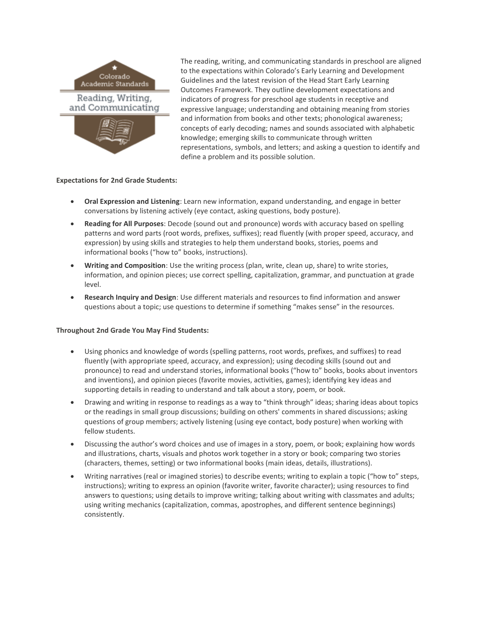

The reading, writing, and communicating standards in preschool are aligned to the expectations within Colorado's Early Learning and Development Guidelines and the latest revision of the Head Start Early Learning Outcomes Framework. They outline development expectations and indicators of progress for preschool age students in receptive and expressive language; understanding and obtaining meaning from stories and information from books and other texts; phonological awareness; concepts of early decoding; names and sounds associated with alphabetic knowledge; emerging skills to communicate through written representations, symbols, and letters; and asking a question to identify and define a problem and its possible solution.

## **Expectations for 2nd Grade Students:**

- **Oral Expression and Listening**: Learn new information, expand understanding, and engage in better conversations by listening actively (eye contact, asking questions, body posture).
- **Reading for All Purposes**: Decode (sound out and pronounce) words with accuracy based on spelling patterns and word parts (root words, prefixes, suffixes); read fluently (with proper speed, accuracy, and expression) by using skills and strategies to help them understand books, stories, poems and informational books ("how to" books, instructions).
- **Writing and Composition**: Use the writing process (plan, write, clean up, share) to write stories, information, and opinion pieces; use correct spelling, capitalization, grammar, and punctuation at grade level.
- **Research Inquiry and Design**: Use different materials and resources to find information and answer questions about a topic; use questions to determine if something "makes sense" in the resources.

- Using phonics and knowledge of words (spelling patterns, root words, prefixes, and suffixes) to read fluently (with appropriate speed, accuracy, and expression); using decoding skills (sound out and pronounce) to read and understand stories, informational books ("how to" books, books about inventors and inventions), and opinion pieces (favorite movies, activities, games); identifying key ideas and supporting details in reading to understand and talk about a story, poem, or book.
- Drawing and writing in response to readings as a way to "think through" ideas; sharing ideas about topics or the readings in small group discussions; building on others' comments in shared discussions; asking questions of group members; actively listening (using eye contact, body posture) when working with fellow students.
- Discussing the author's word choices and use of images in a story, poem, or book; explaining how words and illustrations, charts, visuals and photos work together in a story or book; comparing two stories (characters, themes, setting) or two informational books (main ideas, details, illustrations).
- Writing narratives (real or imagined stories) to describe events; writing to explain a topic ("how to" steps, instructions); writing to express an opinion (favorite writer, favorite character); using resources to find answers to questions; using details to improve writing; talking about writing with classmates and adults; using writing mechanics (capitalization, commas, apostrophes, and different sentence beginnings) consistently.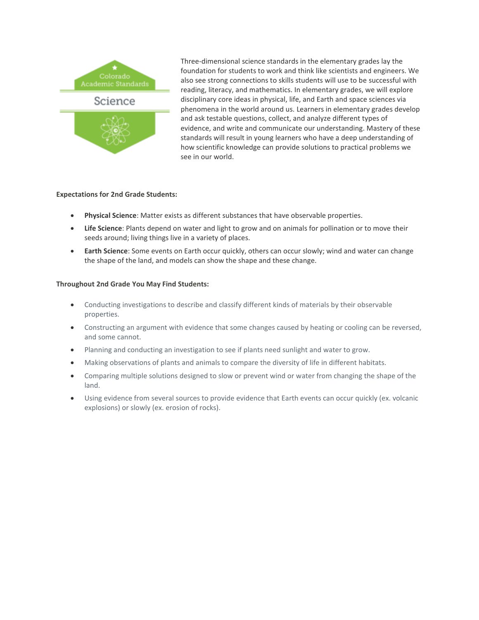

Three-dimensional science standards in the elementary grades lay the foundation for students to work and think like scientists and engineers. We also see strong connections to skills students will use to be successful with reading, literacy, and mathematics. In elementary grades, we will explore disciplinary core ideas in physical, life, and Earth and space sciences via phenomena in the world around us. Learners in elementary grades develop and ask testable questions, collect, and analyze different types of evidence, and write and communicate our understanding. Mastery of these standards will result in young learners who have a deep understanding of how scientific knowledge can provide solutions to practical problems we see in our world.

## **Expectations for 2nd Grade Students:**

- **Physical Science**: Matter exists as different substances that have observable properties.
- **Life Science**: Plants depend on water and light to grow and on animals for pollination or to move their seeds around; living things live in a variety of places.
- **Earth Science**: Some events on Earth occur quickly, others can occur slowly; wind and water can change the shape of the land, and models can show the shape and these change.

- Conducting investigations to describe and classify different kinds of materials by their observable properties.
- Constructing an argument with evidence that some changes caused by heating or cooling can be reversed, and some cannot.
- Planning and conducting an investigation to see if plants need sunlight and water to grow.
- Making observations of plants and animals to compare the diversity of life in different habitats.
- Comparing multiple solutions designed to slow or prevent wind or water from changing the shape of the land.
- Using evidence from several sources to provide evidence that Earth events can occur quickly (ex. volcanic explosions) or slowly (ex. erosion of rocks).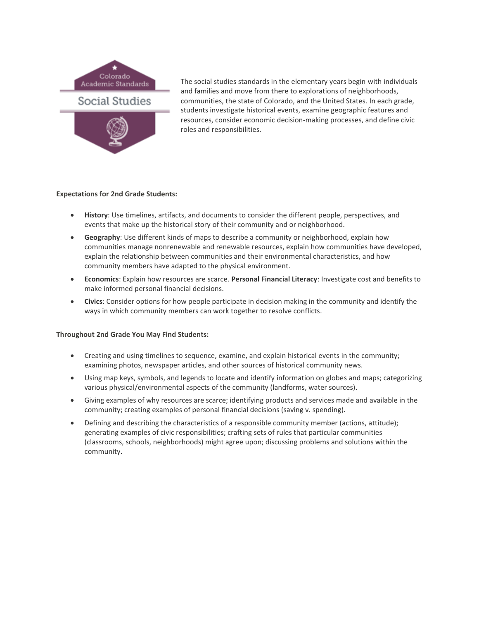

The social studies standards in the elementary years begin with individuals and families and move from there to explorations of neighborhoods, communities, the state of Colorado, and the United States. In each grade, students investigate historical events, examine geographic features and resources, consider economic decision-making processes, and define civic roles and responsibilities.

# **Expectations for 2nd Grade Students:**

- **History**: Use timelines, artifacts, and documents to consider the different people, perspectives, and events that make up the historical story of their community and or neighborhood.
- **Geography**: Use different kinds of maps to describe a community or neighborhood, explain how communities manage nonrenewable and renewable resources, explain how communities have developed, explain the relationship between communities and their environmental characteristics, and how community members have adapted to the physical environment.
- **Economics**: Explain how resources are scarce. **Personal Financial Literacy**: Investigate cost and benefits to make informed personal financial decisions.
- **Civics**: Consider options for how people participate in decision making in the community and identify the ways in which community members can work together to resolve conflicts.

- Creating and using timelines to sequence, examine, and explain historical events in the community; examining photos, newspaper articles, and other sources of historical community news.
- Using map keys, symbols, and legends to locate and identify information on globes and maps; categorizing various physical/environmental aspects of the community (landforms, water sources).
- Giving examples of why resources are scarce; identifying products and services made and available in the community; creating examples of personal financial decisions (saving v. spending).
- Defining and describing the characteristics of a responsible community member (actions, attitude); generating examples of civic responsibilities; crafting sets of rules that particular communities (classrooms, schools, neighborhoods) might agree upon; discussing problems and solutions within the community.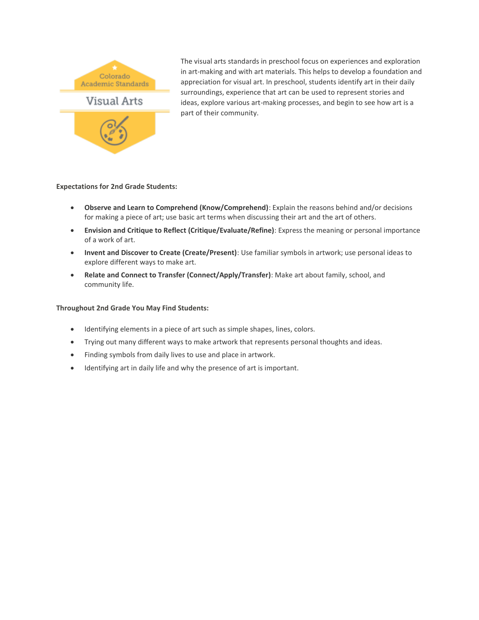

The visual arts standards in preschool focus on experiences and exploration in art-making and with art materials. This helps to develop a foundation and appreciation for visual art. In preschool, students identify art in their daily surroundings, experience that art can be used to represent stories and ideas, explore various art-making processes, and begin to see how art is a part of their community.

## **Expectations for 2nd Grade Students:**

- **Observe and Learn to Comprehend (Know/Comprehend)**: Explain the reasons behind and/or decisions for making a piece of art; use basic art terms when discussing their art and the art of others.
- **Envision and Critique to Reflect (Critique/Evaluate/Refine)**: Express the meaning or personal importance of a work of art.
- **Invent and Discover to Create (Create/Present)**: Use familiar symbols in artwork; use personal ideas to explore different ways to make art.
- **Relate and Connect to Transfer (Connect/Apply/Transfer)**: Make art about family, school, and community life.

- Identifying elements in a piece of art such as simple shapes, lines, colors.
- Trying out many different ways to make artwork that represents personal thoughts and ideas.
- Finding symbols from daily lives to use and place in artwork.
- Identifying art in daily life and why the presence of art is important.